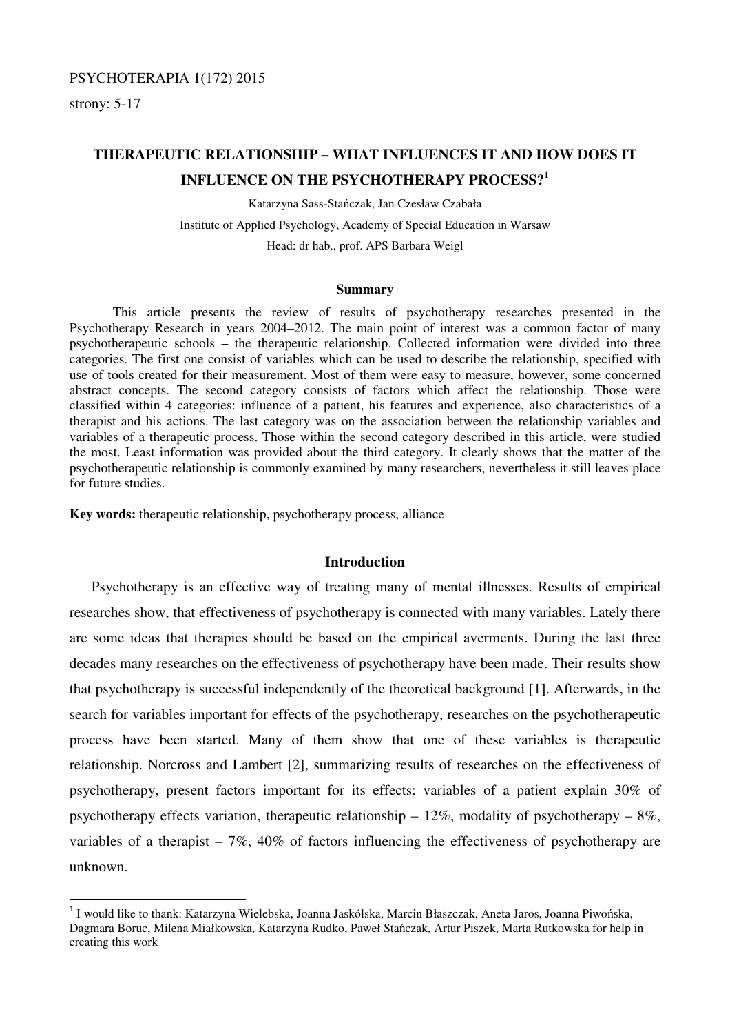# PSYCHOTERAPIA 1(172) 2015

strony: 5-17

 $\overline{a}$ 

# **THERAPEUTIC RELATIONSHIP – WHAT INFLUENCES IT AND HOW DOES IT INFLUENCE ON THE PSYCHOTHERAPY PROCESS?<sup>1</sup>**

Katarzyna Sass-Stańczak, Jan Czesław Czabała Institute of Applied Psychology, Academy of Special Education in Warsaw Head: dr hab., prof. APS Barbara Weigl

#### **Summary**

This article presents the review of results of psychotherapy researches presented in the Psychotherapy Research in years 2004–2012. The main point of interest was a common factor of many psychotherapeutic schools – the therapeutic relationship. Collected information were divided into three categories. The first one consist of variables which can be used to describe the relationship, specified with use of tools created for their measurement. Most of them were easy to measure, however, some concerned abstract concepts. The second category consists of factors which affect the relationship. Those were classified within 4 categories: influence of a patient, his features and experience, also characteristics of a therapist and his actions. The last category was on the association between the relationship variables and variables of a therapeutic process. Those within the second category described in this article, were studied the most. Least information was provided about the third category. It clearly shows that the matter of the psychotherapeutic relationship is commonly examined by many researchers, nevertheless it still leaves place for future studies.

**Key words:** therapeutic relationship, psychotherapy process, alliance

# **Introduction**

Psychotherapy is an effective way of treating many of mental illnesses. Results of empirical researches show, that effectiveness of psychotherapy is connected with many variables. Lately there are some ideas that therapies should be based on the empirical averments. During the last three decades many researches on the effectiveness of psychotherapy have been made. Their results show that psychotherapy is successful independently of the theoretical background [1]. Afterwards, in the search for variables important for effects of the psychotherapy, researches on the psychotherapeutic process have been started. Many of them show that one of these variables is therapeutic relationship. Norcross and Lambert [2], summarizing results of researches on the effectiveness of psychotherapy, present factors important for its effects: variables of a patient explain 30% of psychotherapy effects variation, therapeutic relationship  $-12\%$ , modality of psychotherapy  $-8\%$ , variables of a therapist –  $7\%$ , 40% of factors influencing the effectiveness of psychotherapy are unknown.

<sup>&</sup>lt;sup>1</sup> I would like to thank: Katarzyna Wielebska, Joanna Jaskólska, Marcin Błaszczak, Aneta Jaros, Joanna Piwońska, Dagmara Boruc, Milena Miałkowska, Katarzyna Rudko, Paweł Stańczak, Artur Piszek, Marta Rutkowska for help in creating this work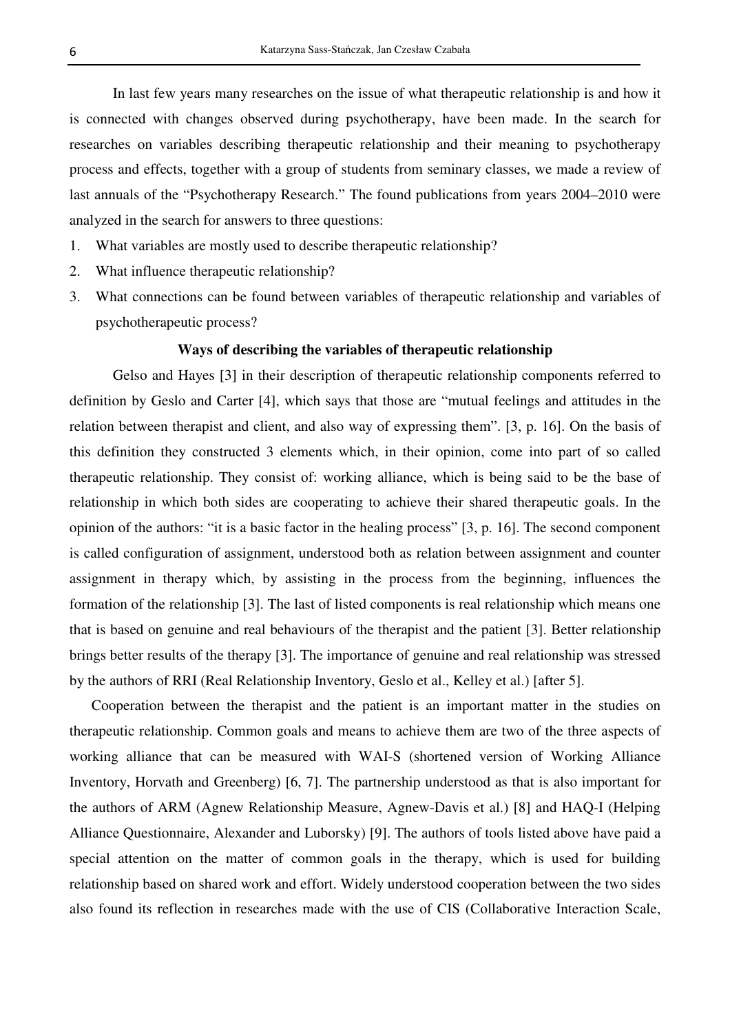In last few years many researches on the issue of what therapeutic relationship is and how it is connected with changes observed during psychotherapy, have been made. In the search for researches on variables describing therapeutic relationship and their meaning to psychotherapy process and effects, together with a group of students from seminary classes, we made a review of last annuals of the "Psychotherapy Research." The found publications from years 2004–2010 were analyzed in the search for answers to three questions:

- 1. What variables are mostly used to describe therapeutic relationship?
- 2. What influence therapeutic relationship?
- 3. What connections can be found between variables of therapeutic relationship and variables of psychotherapeutic process?

### **Ways of describing the variables of therapeutic relationship**

 Gelso and Hayes [3] in their description of therapeutic relationship components referred to definition by Geslo and Carter [4], which says that those are "mutual feelings and attitudes in the relation between therapist and client, and also way of expressing them". [3, p. 16]. On the basis of this definition they constructed 3 elements which, in their opinion, come into part of so called therapeutic relationship. They consist of: working alliance, which is being said to be the base of relationship in which both sides are cooperating to achieve their shared therapeutic goals. In the opinion of the authors: "it is a basic factor in the healing process" [3, p. 16]. The second component is called configuration of assignment, understood both as relation between assignment and counter assignment in therapy which, by assisting in the process from the beginning, influences the formation of the relationship [3]. The last of listed components is real relationship which means one that is based on genuine and real behaviours of the therapist and the patient [3]. Better relationship brings better results of the therapy [3]. The importance of genuine and real relationship was stressed by the authors of RRI (Real Relationship Inventory, Geslo et al., Kelley et al.) [after 5].

Cooperation between the therapist and the patient is an important matter in the studies on therapeutic relationship. Common goals and means to achieve them are two of the three aspects of working alliance that can be measured with WAI-S (shortened version of Working Alliance Inventory, Horvath and Greenberg) [6, 7]. The partnership understood as that is also important for the authors of ARM (Agnew Relationship Measure, Agnew-Davis et al.) [8] and HAQ-I (Helping Alliance Questionnaire, Alexander and Luborsky) [9]. The authors of tools listed above have paid a special attention on the matter of common goals in the therapy, which is used for building relationship based on shared work and effort. Widely understood cooperation between the two sides also found its reflection in researches made with the use of CIS (Collaborative Interaction Scale,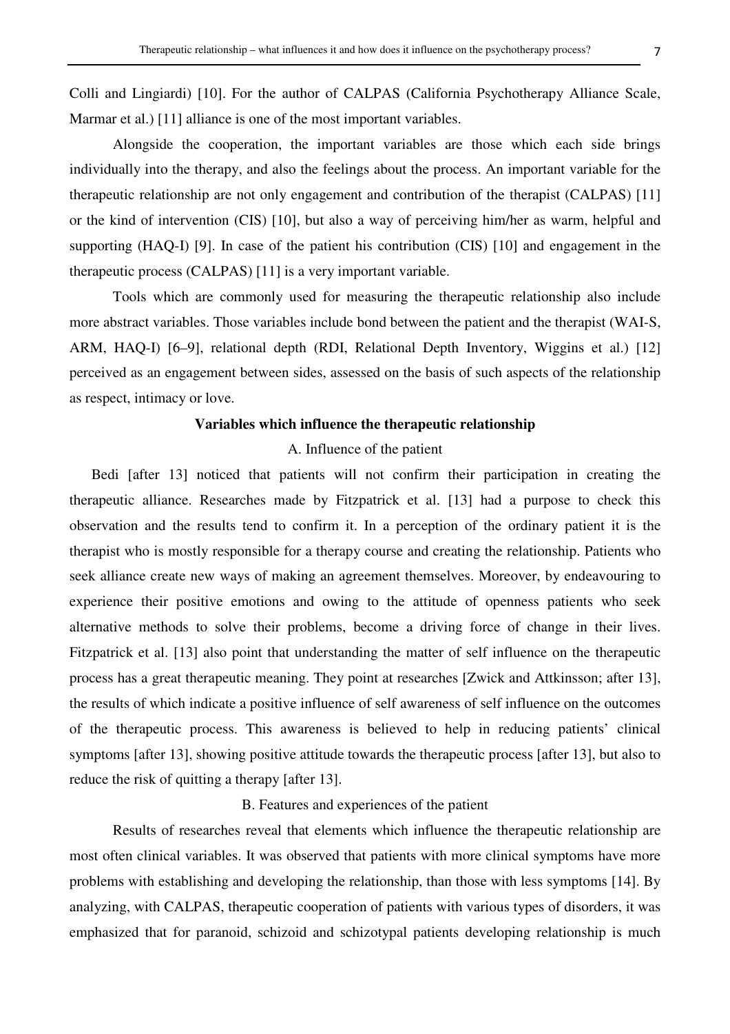Colli and Lingiardi) [10]. For the author of CALPAS (California Psychotherapy Alliance Scale, Marmar et al.) [11] alliance is one of the most important variables.

 Alongside the cooperation, the important variables are those which each side brings individually into the therapy, and also the feelings about the process. An important variable for the therapeutic relationship are not only engagement and contribution of the therapist (CALPAS) [11] or the kind of intervention (CIS) [10], but also a way of perceiving him/her as warm, helpful and supporting (HAQ-I) [9]. In case of the patient his contribution (CIS) [10] and engagement in the therapeutic process (CALPAS) [11] is a very important variable.

 Tools which are commonly used for measuring the therapeutic relationship also include more abstract variables. Those variables include bond between the patient and the therapist (WAI-S, ARM, HAQ-I) [6–9], relational depth (RDI, Relational Depth Inventory, Wiggins et al.) [12] perceived as an engagement between sides, assessed on the basis of such aspects of the relationship as respect, intimacy or love.

## **Variables which influence the therapeutic relationship**

### A. Influence of the patient

Bedi [after 13] noticed that patients will not confirm their participation in creating the therapeutic alliance. Researches made by Fitzpatrick et al. [13] had a purpose to check this observation and the results tend to confirm it. In a perception of the ordinary patient it is the therapist who is mostly responsible for a therapy course and creating the relationship. Patients who seek alliance create new ways of making an agreement themselves. Moreover, by endeavouring to experience their positive emotions and owing to the attitude of openness patients who seek alternative methods to solve their problems, become a driving force of change in their lives. Fitzpatrick et al. [13] also point that understanding the matter of self influence on the therapeutic process has a great therapeutic meaning. They point at researches [Zwick and Attkinsson; after 13], the results of which indicate a positive influence of self awareness of self influence on the outcomes of the therapeutic process. This awareness is believed to help in reducing patients' clinical symptoms [after 13], showing positive attitude towards the therapeutic process [after 13], but also to reduce the risk of quitting a therapy [after 13].

### B. Features and experiences of the patient

 Results of researches reveal that elements which influence the therapeutic relationship are most often clinical variables. It was observed that patients with more clinical symptoms have more problems with establishing and developing the relationship, than those with less symptoms [14]. By analyzing, with CALPAS, therapeutic cooperation of patients with various types of disorders, it was emphasized that for paranoid, schizoid and schizotypal patients developing relationship is much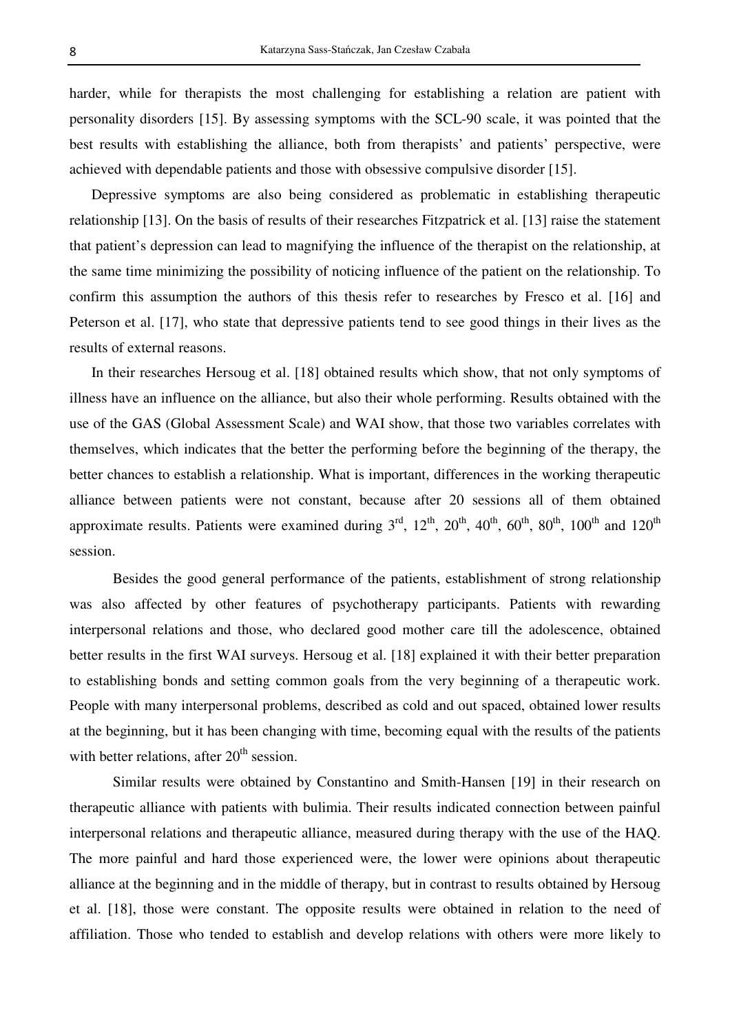harder, while for therapists the most challenging for establishing a relation are patient with personality disorders [15]. By assessing symptoms with the SCL-90 scale, it was pointed that the best results with establishing the alliance, both from therapists' and patients' perspective, were achieved with dependable patients and those with obsessive compulsive disorder [15].

Depressive symptoms are also being considered as problematic in establishing therapeutic relationship [13]. On the basis of results of their researches Fitzpatrick et al. [13] raise the statement that patient's depression can lead to magnifying the influence of the therapist on the relationship, at the same time minimizing the possibility of noticing influence of the patient on the relationship. To confirm this assumption the authors of this thesis refer to researches by Fresco et al. [16] and Peterson et al. [17], who state that depressive patients tend to see good things in their lives as the results of external reasons.

In their researches Hersoug et al. [18] obtained results which show, that not only symptoms of illness have an influence on the alliance, but also their whole performing. Results obtained with the use of the GAS (Global Assessment Scale) and WAI show, that those two variables correlates with themselves, which indicates that the better the performing before the beginning of the therapy, the better chances to establish a relationship. What is important, differences in the working therapeutic alliance between patients were not constant, because after 20 sessions all of them obtained approximate results. Patients were examined during  $3<sup>rd</sup>$ ,  $12<sup>th</sup>$ ,  $20<sup>th</sup>$ ,  $40<sup>th</sup>$ ,  $60<sup>th</sup>$ ,  $80<sup>th</sup>$ ,  $100<sup>th</sup>$  and  $120<sup>th</sup>$ session.

 Besides the good general performance of the patients, establishment of strong relationship was also affected by other features of psychotherapy participants. Patients with rewarding interpersonal relations and those, who declared good mother care till the adolescence, obtained better results in the first WAI surveys. Hersoug et al. [18] explained it with their better preparation to establishing bonds and setting common goals from the very beginning of a therapeutic work. People with many interpersonal problems, described as cold and out spaced, obtained lower results at the beginning, but it has been changing with time, becoming equal with the results of the patients with better relations, after  $20<sup>th</sup>$  session.

 Similar results were obtained by Constantino and Smith-Hansen [19] in their research on therapeutic alliance with patients with bulimia. Their results indicated connection between painful interpersonal relations and therapeutic alliance, measured during therapy with the use of the HAQ. The more painful and hard those experienced were, the lower were opinions about therapeutic alliance at the beginning and in the middle of therapy, but in contrast to results obtained by Hersoug et al. [18], those were constant. The opposite results were obtained in relation to the need of affiliation. Those who tended to establish and develop relations with others were more likely to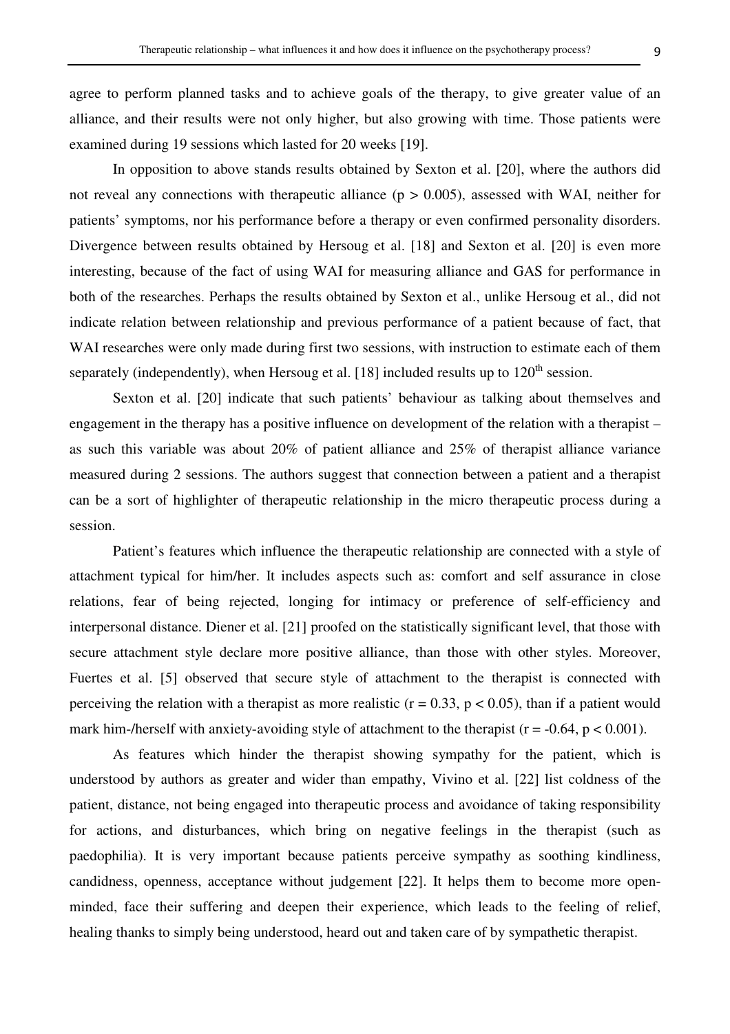agree to perform planned tasks and to achieve goals of the therapy, to give greater value of an alliance, and their results were not only higher, but also growing with time. Those patients were examined during 19 sessions which lasted for 20 weeks [19].

 In opposition to above stands results obtained by Sexton et al. [20], where the authors did not reveal any connections with therapeutic alliance ( $p > 0.005$ ), assessed with WAI, neither for patients' symptoms, nor his performance before a therapy or even confirmed personality disorders. Divergence between results obtained by Hersoug et al. [18] and Sexton et al. [20] is even more interesting, because of the fact of using WAI for measuring alliance and GAS for performance in both of the researches. Perhaps the results obtained by Sexton et al., unlike Hersoug et al., did not indicate relation between relationship and previous performance of a patient because of fact, that WAI researches were only made during first two sessions, with instruction to estimate each of them separately (independently), when Hersoug et al. [18] included results up to  $120<sup>th</sup>$  session.

 Sexton et al. [20] indicate that such patients' behaviour as talking about themselves and engagement in the therapy has a positive influence on development of the relation with a therapist – as such this variable was about 20% of patient alliance and 25% of therapist alliance variance measured during 2 sessions. The authors suggest that connection between a patient and a therapist can be a sort of highlighter of therapeutic relationship in the micro therapeutic process during a session.

 Patient's features which influence the therapeutic relationship are connected with a style of attachment typical for him/her. It includes aspects such as: comfort and self assurance in close relations, fear of being rejected, longing for intimacy or preference of self-efficiency and interpersonal distance. Diener et al. [21] proofed on the statistically significant level, that those with secure attachment style declare more positive alliance, than those with other styles. Moreover, Fuertes et al. [5] observed that secure style of attachment to the therapist is connected with perceiving the relation with a therapist as more realistic ( $r = 0.33$ ,  $p < 0.05$ ), than if a patient would mark him-/herself with anxiety-avoiding style of attachment to the therapist ( $r = -0.64$ ,  $p < 0.001$ ).

 As features which hinder the therapist showing sympathy for the patient, which is understood by authors as greater and wider than empathy, Vivino et al. [22] list coldness of the patient, distance, not being engaged into therapeutic process and avoidance of taking responsibility for actions, and disturbances, which bring on negative feelings in the therapist (such as paedophilia). It is very important because patients perceive sympathy as soothing kindliness, candidness, openness, acceptance without judgement [22]. It helps them to become more openminded, face their suffering and deepen their experience, which leads to the feeling of relief, healing thanks to simply being understood, heard out and taken care of by sympathetic therapist.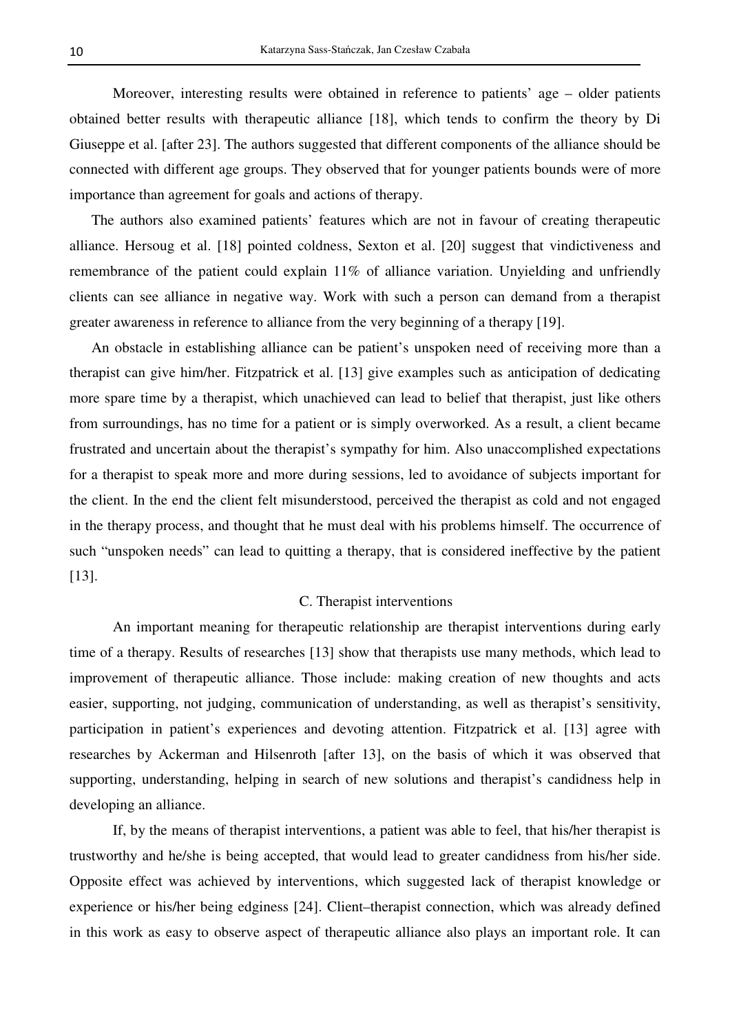Moreover, interesting results were obtained in reference to patients' age – older patients obtained better results with therapeutic alliance [18], which tends to confirm the theory by Di Giuseppe et al. [after 23]. The authors suggested that different components of the alliance should be connected with different age groups. They observed that for younger patients bounds were of more importance than agreement for goals and actions of therapy.

The authors also examined patients' features which are not in favour of creating therapeutic alliance. Hersoug et al. [18] pointed coldness, Sexton et al. [20] suggest that vindictiveness and remembrance of the patient could explain 11% of alliance variation. Unyielding and unfriendly clients can see alliance in negative way. Work with such a person can demand from a therapist greater awareness in reference to alliance from the very beginning of a therapy [19].

An obstacle in establishing alliance can be patient's unspoken need of receiving more than a therapist can give him/her. Fitzpatrick et al. [13] give examples such as anticipation of dedicating more spare time by a therapist, which unachieved can lead to belief that therapist, just like others from surroundings, has no time for a patient or is simply overworked. As a result, a client became frustrated and uncertain about the therapist's sympathy for him. Also unaccomplished expectations for a therapist to speak more and more during sessions, led to avoidance of subjects important for the client. In the end the client felt misunderstood, perceived the therapist as cold and not engaged in the therapy process, and thought that he must deal with his problems himself. The occurrence of such "unspoken needs" can lead to quitting a therapy, that is considered ineffective by the patient [13].

#### C. Therapist interventions

 An important meaning for therapeutic relationship are therapist interventions during early time of a therapy. Results of researches [13] show that therapists use many methods, which lead to improvement of therapeutic alliance. Those include: making creation of new thoughts and acts easier, supporting, not judging, communication of understanding, as well as therapist's sensitivity, participation in patient's experiences and devoting attention. Fitzpatrick et al. [13] agree with researches by Ackerman and Hilsenroth [after 13], on the basis of which it was observed that supporting, understanding, helping in search of new solutions and therapist's candidness help in developing an alliance.

 If, by the means of therapist interventions, a patient was able to feel, that his/her therapist is trustworthy and he/she is being accepted, that would lead to greater candidness from his/her side. Opposite effect was achieved by interventions, which suggested lack of therapist knowledge or experience or his/her being edginess [24]. Client–therapist connection, which was already defined in this work as easy to observe aspect of therapeutic alliance also plays an important role. It can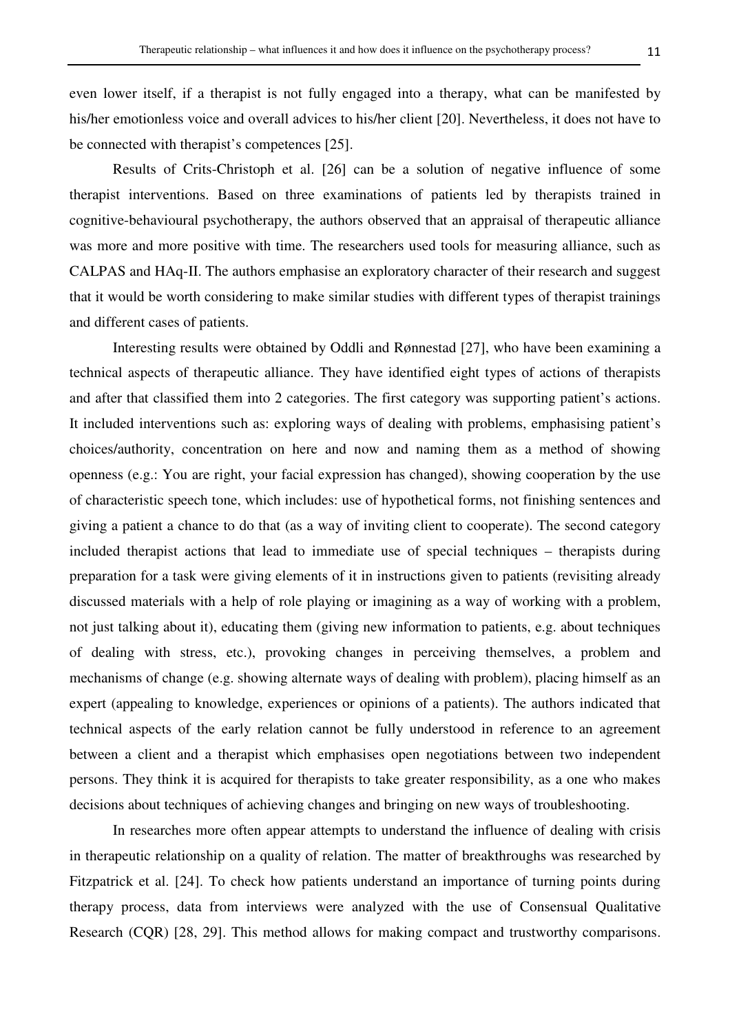even lower itself, if a therapist is not fully engaged into a therapy, what can be manifested by his/her emotionless voice and overall advices to his/her client [20]. Nevertheless, it does not have to be connected with therapist's competences [25].

 Results of Crits-Christoph et al. [26] can be a solution of negative influence of some therapist interventions. Based on three examinations of patients led by therapists trained in cognitive-behavioural psychotherapy, the authors observed that an appraisal of therapeutic alliance was more and more positive with time. The researchers used tools for measuring alliance, such as CALPAS and HAq-II. The authors emphasise an exploratory character of their research and suggest that it would be worth considering to make similar studies with different types of therapist trainings and different cases of patients.

 Interesting results were obtained by Oddli and Rønnestad [27], who have been examining a technical aspects of therapeutic alliance. They have identified eight types of actions of therapists and after that classified them into 2 categories. The first category was supporting patient's actions. It included interventions such as: exploring ways of dealing with problems, emphasising patient's choices/authority, concentration on here and now and naming them as a method of showing openness (e.g.: You are right, your facial expression has changed), showing cooperation by the use of characteristic speech tone, which includes: use of hypothetical forms, not finishing sentences and giving a patient a chance to do that (as a way of inviting client to cooperate). The second category included therapist actions that lead to immediate use of special techniques – therapists during preparation for a task were giving elements of it in instructions given to patients (revisiting already discussed materials with a help of role playing or imagining as a way of working with a problem, not just talking about it), educating them (giving new information to patients, e.g. about techniques of dealing with stress, etc.), provoking changes in perceiving themselves, a problem and mechanisms of change (e.g. showing alternate ways of dealing with problem), placing himself as an expert (appealing to knowledge, experiences or opinions of a patients). The authors indicated that technical aspects of the early relation cannot be fully understood in reference to an agreement between a client and a therapist which emphasises open negotiations between two independent persons. They think it is acquired for therapists to take greater responsibility, as a one who makes decisions about techniques of achieving changes and bringing on new ways of troubleshooting.

 In researches more often appear attempts to understand the influence of dealing with crisis in therapeutic relationship on a quality of relation. The matter of breakthroughs was researched by Fitzpatrick et al. [24]. To check how patients understand an importance of turning points during therapy process, data from interviews were analyzed with the use of Consensual Qualitative Research (CQR) [28, 29]. This method allows for making compact and trustworthy comparisons.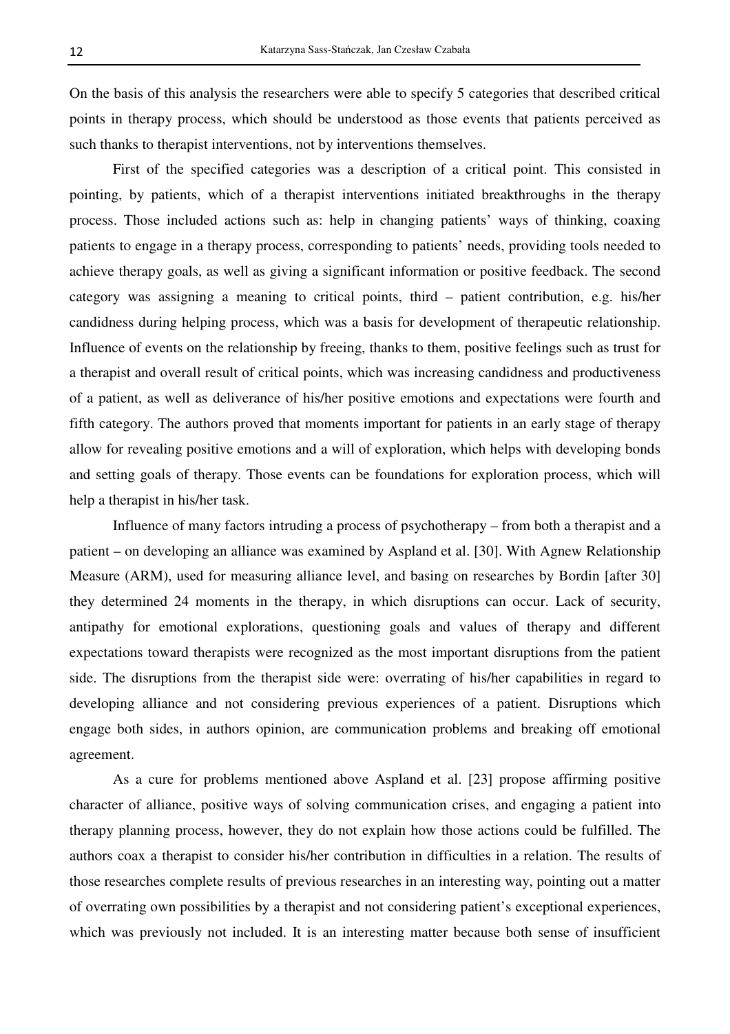On the basis of this analysis the researchers were able to specify 5 categories that described critical points in therapy process, which should be understood as those events that patients perceived as such thanks to therapist interventions, not by interventions themselves.

 First of the specified categories was a description of a critical point. This consisted in pointing, by patients, which of a therapist interventions initiated breakthroughs in the therapy process. Those included actions such as: help in changing patients' ways of thinking, coaxing patients to engage in a therapy process, corresponding to patients' needs, providing tools needed to achieve therapy goals, as well as giving a significant information or positive feedback. The second category was assigning a meaning to critical points, third – patient contribution, e.g. his/her candidness during helping process, which was a basis for development of therapeutic relationship. Influence of events on the relationship by freeing, thanks to them, positive feelings such as trust for a therapist and overall result of critical points, which was increasing candidness and productiveness of a patient, as well as deliverance of his/her positive emotions and expectations were fourth and fifth category. The authors proved that moments important for patients in an early stage of therapy allow for revealing positive emotions and a will of exploration, which helps with developing bonds and setting goals of therapy. Those events can be foundations for exploration process, which will help a therapist in his/her task.

 Influence of many factors intruding a process of psychotherapy – from both a therapist and a patient – on developing an alliance was examined by Aspland et al. [30]. With Agnew Relationship Measure (ARM), used for measuring alliance level, and basing on researches by Bordin [after 30] they determined 24 moments in the therapy, in which disruptions can occur. Lack of security, antipathy for emotional explorations, questioning goals and values of therapy and different expectations toward therapists were recognized as the most important disruptions from the patient side. The disruptions from the therapist side were: overrating of his/her capabilities in regard to developing alliance and not considering previous experiences of a patient. Disruptions which engage both sides, in authors opinion, are communication problems and breaking off emotional agreement.

 As a cure for problems mentioned above Aspland et al. [23] propose affirming positive character of alliance, positive ways of solving communication crises, and engaging a patient into therapy planning process, however, they do not explain how those actions could be fulfilled. The authors coax a therapist to consider his/her contribution in difficulties in a relation. The results of those researches complete results of previous researches in an interesting way, pointing out a matter of overrating own possibilities by a therapist and not considering patient's exceptional experiences, which was previously not included. It is an interesting matter because both sense of insufficient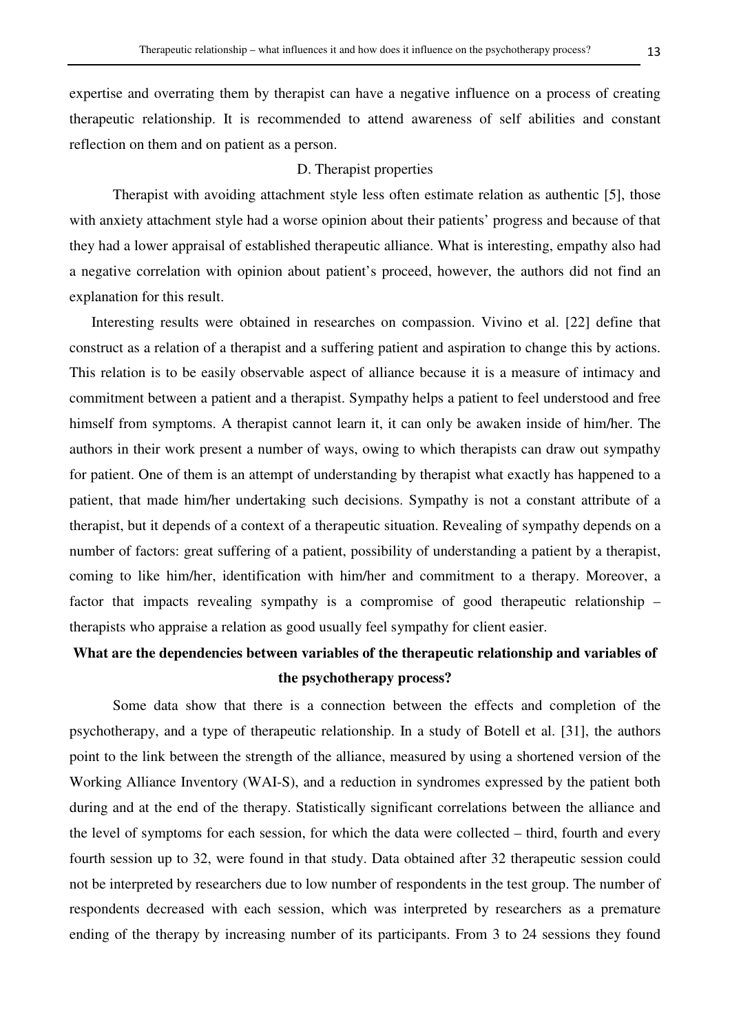expertise and overrating them by therapist can have a negative influence on a process of creating therapeutic relationship. It is recommended to attend awareness of self abilities and constant reflection on them and on patient as a person.

## D. Therapist properties

 Therapist with avoiding attachment style less often estimate relation as authentic [5], those with anxiety attachment style had a worse opinion about their patients' progress and because of that they had a lower appraisal of established therapeutic alliance. What is interesting, empathy also had a negative correlation with opinion about patient's proceed, however, the authors did not find an explanation for this result.

Interesting results were obtained in researches on compassion. Vivino et al. [22] define that construct as a relation of a therapist and a suffering patient and aspiration to change this by actions. This relation is to be easily observable aspect of alliance because it is a measure of intimacy and commitment between a patient and a therapist. Sympathy helps a patient to feel understood and free himself from symptoms. A therapist cannot learn it, it can only be awaken inside of him/her. The authors in their work present a number of ways, owing to which therapists can draw out sympathy for patient. One of them is an attempt of understanding by therapist what exactly has happened to a patient, that made him/her undertaking such decisions. Sympathy is not a constant attribute of a therapist, but it depends of a context of a therapeutic situation. Revealing of sympathy depends on a number of factors: great suffering of a patient, possibility of understanding a patient by a therapist, coming to like him/her, identification with him/her and commitment to a therapy. Moreover, a factor that impacts revealing sympathy is a compromise of good therapeutic relationship – therapists who appraise a relation as good usually feel sympathy for client easier.

# **What are the dependencies between variables of the therapeutic relationship and variables of the psychotherapy process?**

 Some data show that there is a connection between the effects and completion of the psychotherapy, and a type of therapeutic relationship. In a study of Botell et al. [31], the authors point to the link between the strength of the alliance, measured by using a shortened version of the Working Alliance Inventory (WAI-S), and a reduction in syndromes expressed by the patient both during and at the end of the therapy. Statistically significant correlations between the alliance and the level of symptoms for each session, for which the data were collected – third, fourth and every fourth session up to 32, were found in that study. Data obtained after 32 therapeutic session could not be interpreted by researchers due to low number of respondents in the test group. The number of respondents decreased with each session, which was interpreted by researchers as a premature ending of the therapy by increasing number of its participants. From 3 to 24 sessions they found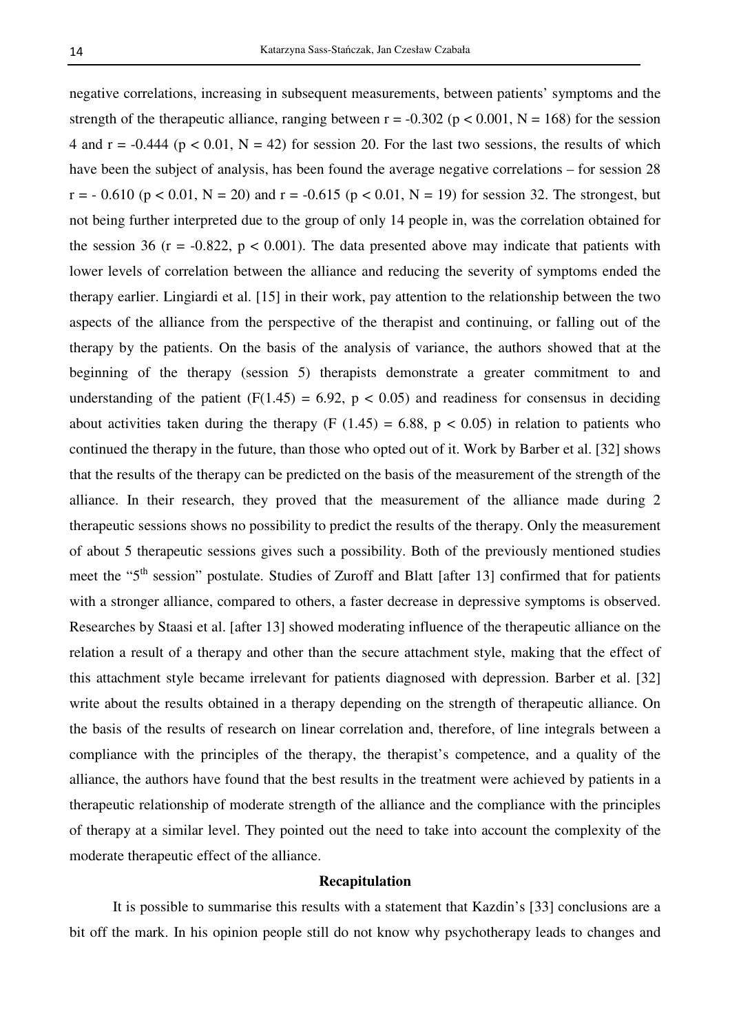negative correlations, increasing in subsequent measurements, between patients' symptoms and the strength of the therapeutic alliance, ranging between  $r = -0.302$  ( $p < 0.001$ ,  $N = 168$ ) for the session 4 and r =  $-0.444$  (p < 0.01, N = 42) for session 20. For the last two sessions, the results of which have been the subject of analysis, has been found the average negative correlations – for session 28  $r = -0.610$  ( $p < 0.01$ ,  $N = 20$ ) and  $r = -0.615$  ( $p < 0.01$ ,  $N = 19$ ) for session 32. The strongest, but not being further interpreted due to the group of only 14 people in, was the correlation obtained for the session 36 ( $r = -0.822$ ,  $p < 0.001$ ). The data presented above may indicate that patients with lower levels of correlation between the alliance and reducing the severity of symptoms ended the therapy earlier. Lingiardi et al. [15] in their work, pay attention to the relationship between the two aspects of the alliance from the perspective of the therapist and continuing, or falling out of the therapy by the patients. On the basis of the analysis of variance, the authors showed that at the beginning of the therapy (session 5) therapists demonstrate a greater commitment to and understanding of the patient (F(1.45) = 6.92,  $p < 0.05$ ) and readiness for consensus in deciding about activities taken during the therapy (F  $(1.45) = 6.88$ , p < 0.05) in relation to patients who continued the therapy in the future, than those who opted out of it. Work by Barber et al. [32] shows that the results of the therapy can be predicted on the basis of the measurement of the strength of the alliance. In their research, they proved that the measurement of the alliance made during 2 therapeutic sessions shows no possibility to predict the results of the therapy. Only the measurement of about 5 therapeutic sessions gives such a possibility. Both of the previously mentioned studies meet the "5<sup>th</sup> session" postulate. Studies of Zuroff and Blatt [after 13] confirmed that for patients with a stronger alliance, compared to others, a faster decrease in depressive symptoms is observed. Researches by Staasi et al. [after 13] showed moderating influence of the therapeutic alliance on the relation a result of a therapy and other than the secure attachment style, making that the effect of this attachment style became irrelevant for patients diagnosed with depression. Barber et al. [32] write about the results obtained in a therapy depending on the strength of therapeutic alliance. On the basis of the results of research on linear correlation and, therefore, of line integrals between a compliance with the principles of the therapy, the therapist's competence, and a quality of the alliance, the authors have found that the best results in the treatment were achieved by patients in a therapeutic relationship of moderate strength of the alliance and the compliance with the principles of therapy at a similar level. They pointed out the need to take into account the complexity of the moderate therapeutic effect of the alliance.

#### **Recapitulation**

 It is possible to summarise this results with a statement that Kazdin's [33] conclusions are a bit off the mark. In his opinion people still do not know why psychotherapy leads to changes and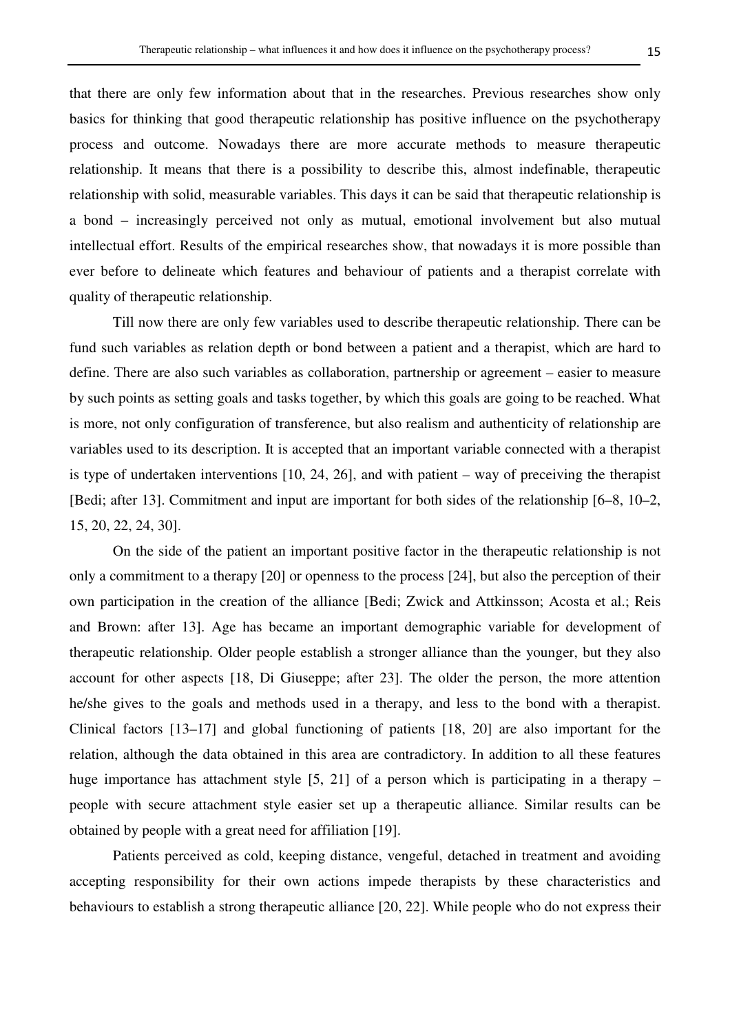that there are only few information about that in the researches. Previous researches show only basics for thinking that good therapeutic relationship has positive influence on the psychotherapy process and outcome. Nowadays there are more accurate methods to measure therapeutic relationship. It means that there is a possibility to describe this, almost indefinable, therapeutic relationship with solid, measurable variables. This days it can be said that therapeutic relationship is a bond – increasingly perceived not only as mutual, emotional involvement but also mutual intellectual effort. Results of the empirical researches show, that nowadays it is more possible than ever before to delineate which features and behaviour of patients and a therapist correlate with quality of therapeutic relationship.

 Till now there are only few variables used to describe therapeutic relationship. There can be fund such variables as relation depth or bond between a patient and a therapist, which are hard to define. There are also such variables as collaboration, partnership or agreement – easier to measure by such points as setting goals and tasks together, by which this goals are going to be reached. What is more, not only configuration of transference, but also realism and authenticity of relationship are variables used to its description. It is accepted that an important variable connected with a therapist is type of undertaken interventions [10, 24, 26], and with patient – way of preceiving the therapist [Bedi; after 13]. Commitment and input are important for both sides of the relationship [6–8, 10–2, 15, 20, 22, 24, 30].

 On the side of the patient an important positive factor in the therapeutic relationship is not only a commitment to a therapy [20] or openness to the process [24], but also the perception of their own participation in the creation of the alliance [Bedi; Zwick and Attkinsson; Acosta et al.; Reis and Brown: after 13]. Age has became an important demographic variable for development of therapeutic relationship. Older people establish a stronger alliance than the younger, but they also account for other aspects [18, Di Giuseppe; after 23]. The older the person, the more attention he/she gives to the goals and methods used in a therapy, and less to the bond with a therapist. Clinical factors [13–17] and global functioning of patients [18, 20] are also important for the relation, although the data obtained in this area are contradictory. In addition to all these features huge importance has attachment style [5, 21] of a person which is participating in a therapy – people with secure attachment style easier set up a therapeutic alliance. Similar results can be obtained by people with a great need for affiliation [19].

 Patients perceived as cold, keeping distance, vengeful, detached in treatment and avoiding accepting responsibility for their own actions impede therapists by these characteristics and behaviours to establish a strong therapeutic alliance [20, 22]. While people who do not express their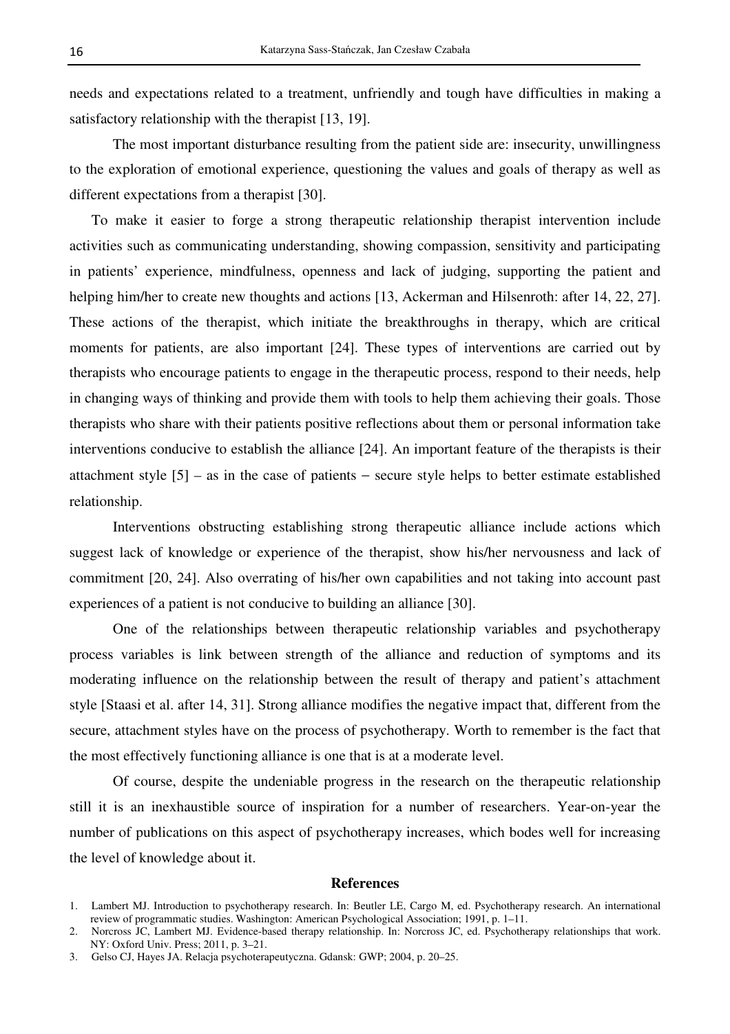needs and expectations related to a treatment, unfriendly and tough have difficulties in making a satisfactory relationship with the therapist [13, 19].

 The most important disturbance resulting from the patient side are: insecurity, unwillingness to the exploration of emotional experience, questioning the values and goals of therapy as well as different expectations from a therapist [30].

To make it easier to forge a strong therapeutic relationship therapist intervention include activities such as communicating understanding, showing compassion, sensitivity and participating in patients' experience, mindfulness, openness and lack of judging, supporting the patient and helping him/her to create new thoughts and actions [13, Ackerman and Hilsenroth: after 14, 22, 27]. These actions of the therapist, which initiate the breakthroughs in therapy, which are critical moments for patients, are also important [24]. These types of interventions are carried out by therapists who encourage patients to engage in the therapeutic process, respond to their needs, help in changing ways of thinking and provide them with tools to help them achieving their goals. Those therapists who share with their patients positive reflections about them or personal information take interventions conducive to establish the alliance [24]. An important feature of the therapists is their attachment style [5] – as in the case of patients − secure style helps to better estimate established relationship.

 Interventions obstructing establishing strong therapeutic alliance include actions which suggest lack of knowledge or experience of the therapist, show his/her nervousness and lack of commitment [20, 24]. Also overrating of his/her own capabilities and not taking into account past experiences of a patient is not conducive to building an alliance [30].

 One of the relationships between therapeutic relationship variables and psychotherapy process variables is link between strength of the alliance and reduction of symptoms and its moderating influence on the relationship between the result of therapy and patient's attachment style [Staasi et al. after 14, 31]. Strong alliance modifies the negative impact that, different from the secure, attachment styles have on the process of psychotherapy. Worth to remember is the fact that the most effectively functioning alliance is one that is at a moderate level.

 Of course, despite the undeniable progress in the research on the therapeutic relationship still it is an inexhaustible source of inspiration for a number of researchers. Year-on-year the number of publications on this aspect of psychotherapy increases, which bodes well for increasing the level of knowledge about it.

#### **References**

<sup>1.</sup> Lambert MJ. Introduction to psychotherapy research. In: Beutler LE, Cargo M, ed. Psychotherapy research. An international review of programmatic studies. Washington: American Psychological Association; 1991, p. 1–11.

<sup>2.</sup> Norcross JC, Lambert MJ. Evidence-based therapy relationship. In: Norcross JC, ed. Psychotherapy relationships that work. NY: Oxford Univ. Press; 2011, p. 3–21.

<sup>3.</sup> Gelso CJ, Hayes JA. Relacja psychoterapeutyczna. Gdansk: GWP; 2004, p. 20–25.